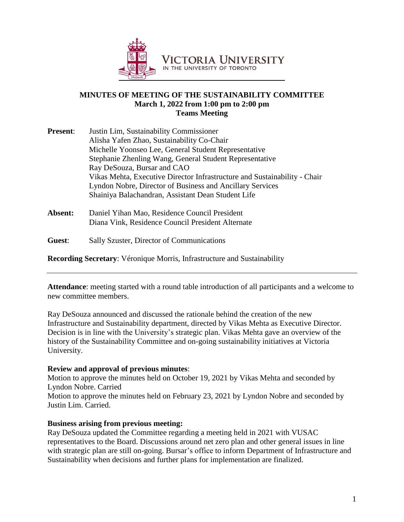

#### **MINUTES OF MEETING OF THE SUSTAINABILITY COMMITTEE March 1, 2022 from 1:00 pm to 2:00 pm Teams Meeting**

| <b>Present:</b> | Justin Lim, Sustainability Commissioner                                   |
|-----------------|---------------------------------------------------------------------------|
|                 | Alisha Yafen Zhao, Sustainability Co-Chair                                |
|                 | Michelle Yoonseo Lee, General Student Representative                      |
|                 | Stephanie Zhenling Wang, General Student Representative                   |
|                 | Ray DeSouza, Bursar and CAO                                               |
|                 | Vikas Mehta, Executive Director Infrastructure and Sustainability - Chair |
|                 | Lyndon Nobre, Director of Business and Ancillary Services                 |
|                 | Shainiya Balachandran, Assistant Dean Student Life                        |
|                 |                                                                           |

- **Absent:** Daniel Yihan Mao, Residence Council President Diana Vink, Residence Council President Alternate
- **Guest**: Sally Szuster, Director of Communications

**Recording Secretary**: Véronique Morris, Infrastructure and Sustainability

**Attendance**: meeting started with a round table introduction of all participants and a welcome to new committee members.

Ray DeSouza announced and discussed the rationale behind the creation of the new Infrastructure and Sustainability department, directed by Vikas Mehta as Executive Director. Decision is in line with the University's strategic plan. Vikas Mehta gave an overview of the history of the Sustainability Committee and on-going sustainability initiatives at Victoria University.

#### **Review and approval of previous minutes**:

Motion to approve the minutes held on October 19, 2021 by Vikas Mehta and seconded by Lyndon Nobre. Carried

Motion to approve the minutes held on February 23, 2021 by Lyndon Nobre and seconded by Justin Lim. Carried.

#### **Business arising from previous meeting:**

Ray DeSouza updated the Committee regarding a meeting held in 2021 with VUSAC representatives to the Board. Discussions around net zero plan and other general issues in line with strategic plan are still on-going. Bursar's office to inform Department of Infrastructure and Sustainability when decisions and further plans for implementation are finalized.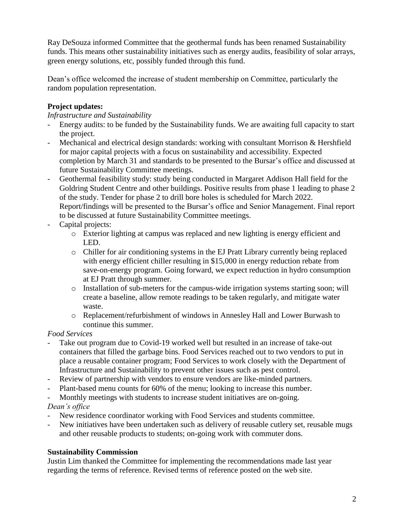Ray DeSouza informed Committee that the geothermal funds has been renamed Sustainability funds. This means other sustainability initiatives such as energy audits, feasibility of solar arrays, green energy solutions, etc, possibly funded through this fund.

Dean's office welcomed the increase of student membership on Committee, particularly the random population representation.

## **Project updates:**

*Infrastructure and Sustainability*

- Energy audits: to be funded by the Sustainability funds. We are awaiting full capacity to start the project.
- Mechanical and electrical design standards: working with consultant Morrison & Hershfield for major capital projects with a focus on sustainability and accessibility. Expected completion by March 31 and standards to be presented to the Bursar's office and discussed at future Sustainability Committee meetings.
- Geothermal feasibility study: study being conducted in Margaret Addison Hall field for the Goldring Student Centre and other buildings. Positive results from phase 1 leading to phase 2 of the study. Tender for phase 2 to drill bore holes is scheduled for March 2022. Report/findings will be presented to the Bursar's office and Senior Management. Final report to be discussed at future Sustainability Committee meetings.
- Capital projects:
	- o Exterior lighting at campus was replaced and new lighting is energy efficient and LED.
	- o Chiller for air conditioning systems in the EJ Pratt Library currently being replaced with energy efficient chiller resulting in \$15,000 in energy reduction rebate from save-on-energy program. Going forward, we expect reduction in hydro consumption at EJ Pratt through summer.
	- o Installation of sub-meters for the campus-wide irrigation systems starting soon; will create a baseline, allow remote readings to be taken regularly, and mitigate water waste.
	- o Replacement/refurbishment of windows in Annesley Hall and Lower Burwash to continue this summer.

### *Food Services*

- Take out program due to Covid-19 worked well but resulted in an increase of take-out containers that filled the garbage bins. Food Services reached out to two vendors to put in place a reusable container program; Food Services to work closely with the Department of Infrastructure and Sustainability to prevent other issues such as pest control.
- Review of partnership with vendors to ensure vendors are like-minded partners.
- Plant-based menu counts for 60% of the menu; looking to increase this number.

- Monthly meetings with students to increase student initiatives are on-going. *Dean's office*

- New residence coordinator working with Food Services and students committee.
- New initiatives have been undertaken such as delivery of reusable cutlery set, reusable mugs and other reusable products to students; on-going work with commuter dons.

# **Sustainability Commission**

Justin Lim thanked the Committee for implementing the recommendations made last year regarding the terms of reference. Revised terms of reference posted on the web site.